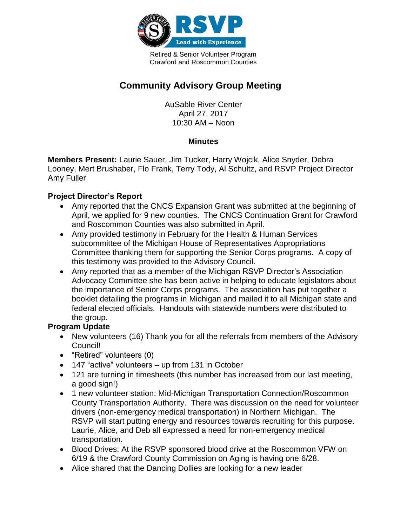

Retired & Senior Volunteer Program Crawford and Roscommon Counties

# **Community Advisory Group Meeting**

AuSable River Center April 27, 2017 10:30 AM – Noon

### **Minutes**

**Members Present:** Laurie Sauer, Jim Tucker, Harry Wojcik, Alice Snyder, Debra Looney, Mert Brushaber, Flo Frank, Terry Tody, Al Schultz, and RSVP Project Director Amy Fuller

# **Project Director's Report**

- Amy reported that the CNCS Expansion Grant was submitted at the beginning of April, we applied for 9 new counties. The CNCS Continuation Grant for Crawford and Roscommon Counties was also submitted in April.
- Amy provided testimony in February for the Health & Human Services subcommittee of the Michigan House of Representatives Appropriations Committee thanking them for supporting the Senior Corps programs. A copy of this testimony was provided to the Advisory Council.
- Amy reported that as a member of the Michigan RSVP Director's Association Advocacy Committee she has been active in helping to educate legislators about the importance of Senior Corps programs. The association has put together a booklet detailing the programs in Michigan and mailed it to all Michigan state and federal elected officials. Handouts with statewide numbers were distributed to the group.

## **Program Update**

- New volunteers (16) Thank you for all the referrals from members of the Advisory Council!
- "Retired" volunteers (0)
- 147 "active" volunteers up from 131 in October
- 121 are turning in timesheets (this number has increased from our last meeting, a good sign!)
- 1 new volunteer station: Mid-Michigan Transportation Connection/Roscommon County Transportation Authority. There was discussion on the need for volunteer drivers (non-emergency medical transportation) in Northern Michigan. The RSVP will start putting energy and resources towards recruiting for this purpose. Laurie, Alice, and Deb all expressed a need for non-emergency medical transportation.
- Blood Drives: At the RSVP sponsored blood drive at the Roscommon VFW on 6/19 & the Crawford County Commission on Aging is having one 6/28.
- Alice shared that the Dancing Dollies are looking for a new leader